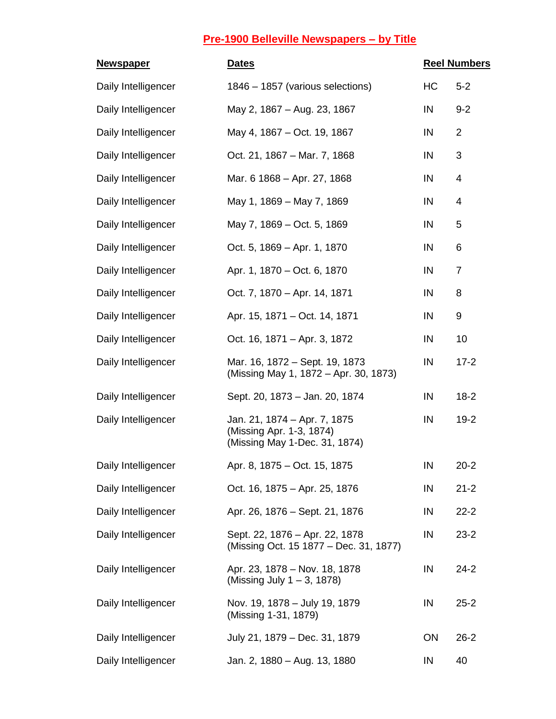| <b>Newspaper</b>    | <b>Dates</b>                                                                              | <b>Reel Numbers</b> |                |
|---------------------|-------------------------------------------------------------------------------------------|---------------------|----------------|
| Daily Intelligencer | 1846 - 1857 (various selections)                                                          | HC                  | $5 - 2$        |
| Daily Intelligencer | May 2, 1867 – Aug. 23, 1867                                                               | IN                  | $9 - 2$        |
| Daily Intelligencer | May 4, 1867 – Oct. 19, 1867                                                               | IN                  | $\overline{2}$ |
| Daily Intelligencer | Oct. 21, 1867 - Mar. 7, 1868                                                              | IN                  | 3              |
| Daily Intelligencer | Mar. 6 1868 - Apr. 27, 1868                                                               | IN                  | 4              |
| Daily Intelligencer | May 1, 1869 - May 7, 1869                                                                 | IN                  | 4              |
| Daily Intelligencer | May 7, 1869 – Oct. 5, 1869                                                                | IN                  | 5              |
| Daily Intelligencer | Oct. 5, 1869 – Apr. 1, 1870                                                               | IN                  | 6              |
| Daily Intelligencer | Apr. 1, 1870 – Oct. 6, 1870                                                               | IN                  | $\overline{7}$ |
| Daily Intelligencer | Oct. 7, 1870 - Apr. 14, 1871                                                              | IN                  | 8              |
| Daily Intelligencer | Apr. 15, 1871 – Oct. 14, 1871                                                             | IN                  | 9              |
| Daily Intelligencer | Oct. 16, 1871 – Apr. 3, 1872                                                              | IN                  | 10             |
| Daily Intelligencer | Mar. 16, 1872 – Sept. 19, 1873<br>(Missing May 1, 1872 – Apr. 30, 1873)                   | IN                  | $17 - 2$       |
| Daily Intelligencer | Sept. 20, 1873 - Jan. 20, 1874                                                            | IN                  | $18-2$         |
| Daily Intelligencer | Jan. 21, 1874 – Apr. 7, 1875<br>(Missing Apr. 1-3, 1874)<br>(Missing May 1-Dec. 31, 1874) | IN                  | $19 - 2$       |
| Daily Intelligencer | Apr. 8, 1875 - Oct. 15, 1875                                                              | IN                  | $20 - 2$       |
| Daily Intelligencer | Oct. 16, 1875 - Apr. 25, 1876                                                             | IN                  | $21 - 2$       |
| Daily Intelligencer | Apr. 26, 1876 - Sept. 21, 1876                                                            | IN                  | $22 - 2$       |
| Daily Intelligencer | Sept. 22, 1876 - Apr. 22, 1878<br>(Missing Oct. 15 1877 – Dec. 31, 1877)                  | IN                  | $23 - 2$       |
| Daily Intelligencer | Apr. 23, 1878 - Nov. 18, 1878<br>(Missing July $1 - 3$ , 1878)                            | IN                  | $24 - 2$       |
| Daily Intelligencer | Nov. 19, 1878 - July 19, 1879<br>(Missing 1-31, 1879)                                     | IN                  | $25 - 2$       |
| Daily Intelligencer | July 21, 1879 - Dec. 31, 1879                                                             | ON                  | $26 - 2$       |
| Daily Intelligencer | Jan. 2, 1880 - Aug. 13, 1880                                                              | IN                  | 40             |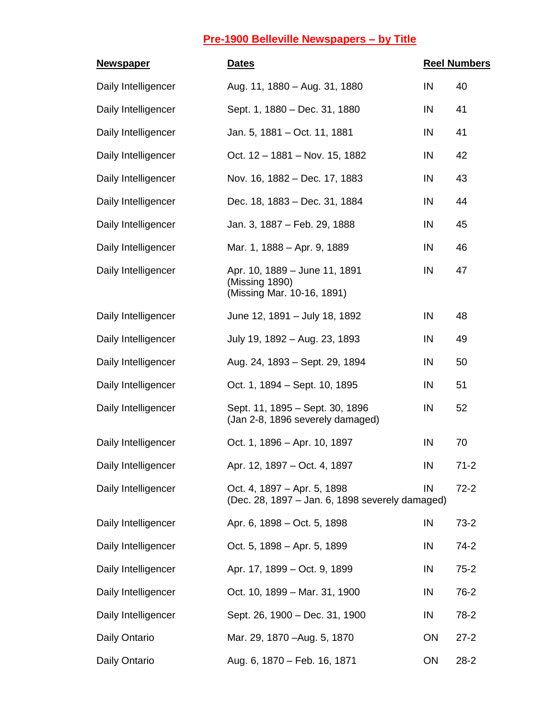| <b>Newspaper</b>    | <b>Dates</b>                                                                   |    | <b>Reel Numbers</b> |
|---------------------|--------------------------------------------------------------------------------|----|---------------------|
| Daily Intelligencer | Aug. 11, 1880 - Aug. 31, 1880                                                  | IN | 40                  |
| Daily Intelligencer | Sept. 1, 1880 - Dec. 31, 1880                                                  | IN | 41                  |
| Daily Intelligencer | Jan. 5, 1881 - Oct. 11, 1881                                                   | IN | 41                  |
| Daily Intelligencer | Oct. 12 - 1881 - Nov. 15, 1882                                                 | IN | 42                  |
| Daily Intelligencer | Nov. 16, 1882 – Dec. 17, 1883                                                  | IN | 43                  |
| Daily Intelligencer | Dec. 18, 1883 – Dec. 31, 1884                                                  | IN | 44                  |
| Daily Intelligencer | Jan. 3, 1887 - Feb. 29, 1888                                                   | IN | 45                  |
| Daily Intelligencer | Mar. 1, 1888 - Apr. 9, 1889                                                    | IN | 46                  |
| Daily Intelligencer | Apr. 10, 1889 - June 11, 1891<br>(Missing 1890)<br>(Missing Mar. 10-16, 1891)  | IN | 47                  |
| Daily Intelligencer | June 12, 1891 - July 18, 1892                                                  | IN | 48                  |
| Daily Intelligencer | July 19, 1892 - Aug. 23, 1893                                                  | IN | 49                  |
| Daily Intelligencer | Aug. 24, 1893 – Sept. 29, 1894                                                 | IN | 50                  |
| Daily Intelligencer | Oct. 1, 1894 – Sept. 10, 1895                                                  | IN | 51                  |
| Daily Intelligencer | Sept. 11, 1895 – Sept. 30, 1896<br>(Jan 2-8, 1896 severely damaged)            | IN | 52                  |
| Daily Intelligencer | Oct. 1, 1896 – Apr. 10, 1897                                                   | IN | 70                  |
| Daily Intelligencer | Apr. 12, 1897 - Oct. 4, 1897                                                   | IN | $71 - 2$            |
| Daily Intelligencer | Oct. 4, 1897 - Apr. 5, 1898<br>(Dec. 28, 1897 – Jan. 6, 1898 severely damaged) | IN | $72 - 2$            |
| Daily Intelligencer | Apr. 6, 1898 – Oct. 5, 1898                                                    | IN | $73-2$              |
| Daily Intelligencer | Oct. 5, 1898 – Apr. 5, 1899                                                    | IN | $74-2$              |
| Daily Intelligencer | Apr. 17, 1899 - Oct. 9, 1899                                                   | IN | $75 - 2$            |
| Daily Intelligencer | Oct. 10, 1899 - Mar. 31, 1900                                                  | IN | $76-2$              |
| Daily Intelligencer | Sept. 26, 1900 - Dec. 31, 1900                                                 | IN | $78-2$              |
| Daily Ontario       | Mar. 29, 1870 - Aug. 5, 1870                                                   | ON | $27 - 2$            |
| Daily Ontario       | Aug. 6, 1870 - Feb. 16, 1871                                                   | ON | $28 - 2$            |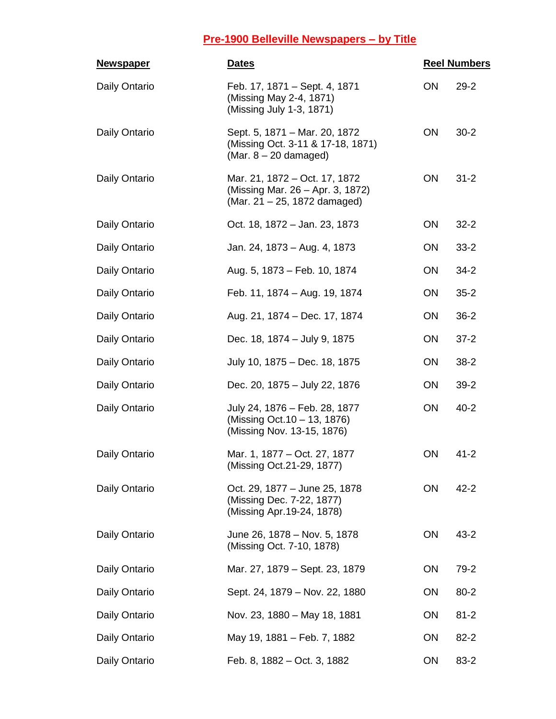| <u>Newspaper</u> | <b>Dates</b>                                                                                      | <b>Reel Numbers</b> |          |
|------------------|---------------------------------------------------------------------------------------------------|---------------------|----------|
| Daily Ontario    | Feb. 17, 1871 – Sept. 4, 1871<br>(Missing May 2-4, 1871)<br>(Missing July 1-3, 1871)              | ON                  | $29 - 2$ |
| Daily Ontario    | Sept. 5, 1871 - Mar. 20, 1872<br>(Missing Oct. 3-11 & 17-18, 1871)<br>(Mar. $8 - 20$ damaged)     | ON                  | $30 - 2$ |
| Daily Ontario    | Mar. 21, 1872 – Oct. 17, 1872<br>(Missing Mar. 26 – Apr. 3, 1872)<br>(Mar. 21 - 25, 1872 damaged) | ON                  | $31 - 2$ |
| Daily Ontario    | Oct. 18, 1872 - Jan. 23, 1873                                                                     | <b>ON</b>           | $32 - 2$ |
| Daily Ontario    | Jan. 24, 1873 - Aug. 4, 1873                                                                      | <b>ON</b>           | $33 - 2$ |
| Daily Ontario    | Aug. 5, 1873 - Feb. 10, 1874                                                                      | <b>ON</b>           | $34 - 2$ |
| Daily Ontario    | Feb. 11, 1874 - Aug. 19, 1874                                                                     | ON                  | $35 - 2$ |
| Daily Ontario    | Aug. 21, 1874 – Dec. 17, 1874                                                                     | ON                  | $36-2$   |
| Daily Ontario    | Dec. 18, 1874 - July 9, 1875                                                                      | ON                  | $37 - 2$ |
| Daily Ontario    | July 10, 1875 - Dec. 18, 1875                                                                     | ON                  | $38 - 2$ |
| Daily Ontario    | Dec. 20, 1875 - July 22, 1876                                                                     | <b>ON</b>           | $39 - 2$ |
| Daily Ontario    | July 24, 1876 - Feb. 28, 1877<br>(Missing Oct. 10 - 13, 1876)<br>(Missing Nov. 13-15, 1876)       | ON                  | $40 - 2$ |
| Daily Ontario    | Mar. 1, 1877 – Oct. 27, 1877<br>(Missing Oct. 21-29, 1877)                                        | ON                  | $41 - 2$ |
| Daily Ontario    | Oct. 29, 1877 - June 25, 1878<br>(Missing Dec. 7-22, 1877)<br>(Missing Apr. 19-24, 1878)          | ON                  | $42 - 2$ |
| Daily Ontario    | June 26, 1878 - Nov. 5, 1878<br>(Missing Oct. 7-10, 1878)                                         | ON                  | $43 - 2$ |
| Daily Ontario    | Mar. 27, 1879 - Sept. 23, 1879                                                                    | <b>ON</b>           | 79-2     |
| Daily Ontario    | Sept. 24, 1879 - Nov. 22, 1880                                                                    | <b>ON</b>           | $80 - 2$ |
| Daily Ontario    | Nov. 23, 1880 - May 18, 1881                                                                      | ON                  | $81 - 2$ |
| Daily Ontario    | May 19, 1881 – Feb. 7, 1882                                                                       | <b>ON</b>           | $82 - 2$ |
| Daily Ontario    | Feb. 8, 1882 – Oct. 3, 1882                                                                       | ON                  | 83-2     |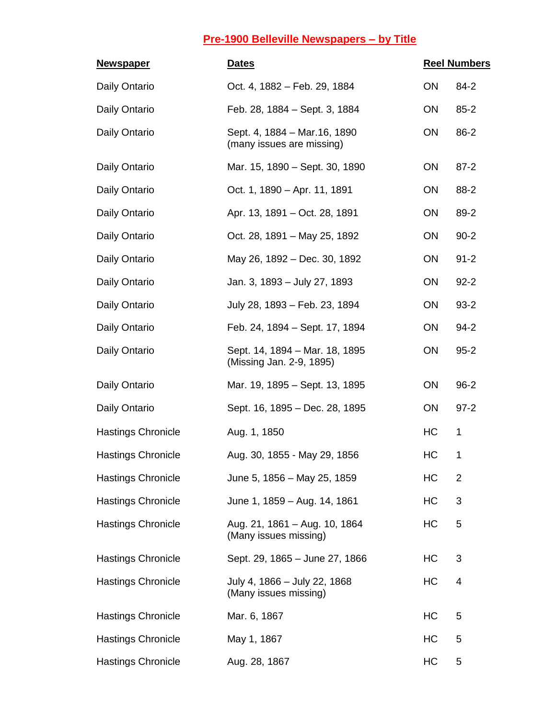| <b>Newspaper</b>          | <b>Dates</b>                                               | <b>Reel Numbers</b> |          |
|---------------------------|------------------------------------------------------------|---------------------|----------|
| Daily Ontario             | Oct. 4, 1882 – Feb. 29, 1884                               | ON                  | $84 - 2$ |
| Daily Ontario             | Feb. 28, 1884 – Sept. 3, 1884                              | ON                  | $85 - 2$ |
| Daily Ontario             | Sept. 4, 1884 - Mar. 16, 1890<br>(many issues are missing) | ON                  | 86-2     |
| Daily Ontario             | Mar. 15, 1890 - Sept. 30, 1890                             | <b>ON</b>           | $87 - 2$ |
| Daily Ontario             | Oct. 1, 1890 - Apr. 11, 1891                               | ON                  | 88-2     |
| Daily Ontario             | Apr. 13, 1891 – Oct. 28, 1891                              | ON                  | 89-2     |
| Daily Ontario             | Oct. 28, 1891 - May 25, 1892                               | ON                  | $90 - 2$ |
| Daily Ontario             | May 26, 1892 – Dec. 30, 1892                               | <b>ON</b>           | $91 - 2$ |
| Daily Ontario             | Jan. 3, 1893 - July 27, 1893                               | ON                  | $92 - 2$ |
| Daily Ontario             | July 28, 1893 - Feb. 23, 1894                              | ON                  | $93 - 2$ |
| Daily Ontario             | Feb. 24, 1894 - Sept. 17, 1894                             | ON                  | $94 - 2$ |
| Daily Ontario             | Sept. 14, 1894 - Mar. 18, 1895<br>(Missing Jan. 2-9, 1895) | ON                  | $95 - 2$ |
| Daily Ontario             | Mar. 19, 1895 – Sept. 13, 1895                             | <b>ON</b>           | $96 - 2$ |
| Daily Ontario             | Sept. 16, 1895 – Dec. 28, 1895                             | ON                  | $97 - 2$ |
| <b>Hastings Chronicle</b> | Aug. 1, 1850                                               | HC                  | 1        |
| <b>Hastings Chronicle</b> | Aug. 30, 1855 - May 29, 1856                               | HC                  | 1        |
| <b>Hastings Chronicle</b> | June 5, 1856 - May 25, 1859                                | HC                  | 2        |
| <b>Hastings Chronicle</b> | June 1, 1859 - Aug. 14, 1861                               | HC                  | 3        |
| <b>Hastings Chronicle</b> | Aug. 21, 1861 - Aug. 10, 1864<br>(Many issues missing)     | HC                  | 5        |
| <b>Hastings Chronicle</b> | Sept. 29, 1865 - June 27, 1866                             | HC                  | 3        |
| <b>Hastings Chronicle</b> | July 4, 1866 - July 22, 1868<br>(Many issues missing)      | HC                  | 4        |
| <b>Hastings Chronicle</b> | Mar. 6, 1867                                               | HC                  | 5        |
| <b>Hastings Chronicle</b> | May 1, 1867                                                | HC                  | 5        |
| <b>Hastings Chronicle</b> | Aug. 28, 1867                                              | HC                  | 5        |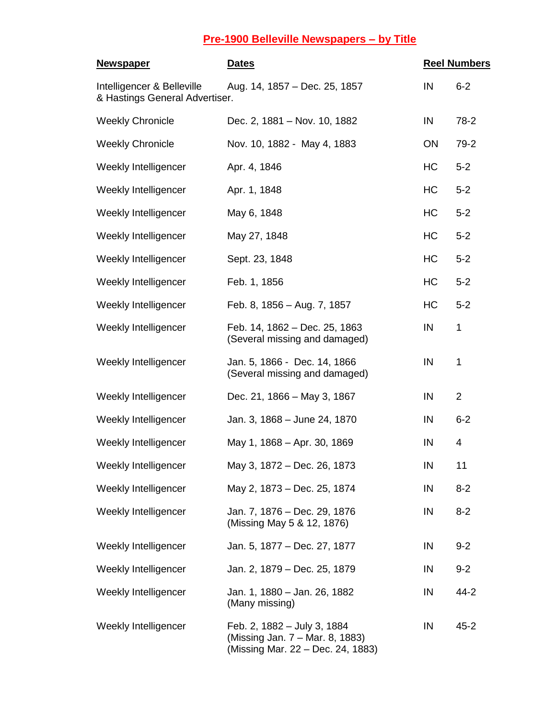| <b>Newspaper</b>                                             | <b>Dates</b>                                                                                        | <b>Reel Numbers</b> |                |
|--------------------------------------------------------------|-----------------------------------------------------------------------------------------------------|---------------------|----------------|
| Intelligencer & Belleville<br>& Hastings General Advertiser. | Aug. 14, 1857 – Dec. 25, 1857                                                                       | IN                  | $6 - 2$        |
| <b>Weekly Chronicle</b>                                      | Dec. 2, 1881 - Nov. 10, 1882                                                                        | IN                  | 78-2           |
| <b>Weekly Chronicle</b>                                      | Nov. 10, 1882 - May 4, 1883                                                                         | ON                  | $79-2$         |
| Weekly Intelligencer                                         | Apr. 4, 1846                                                                                        | HC                  | $5 - 2$        |
| Weekly Intelligencer                                         | Apr. 1, 1848                                                                                        | HC                  | $5 - 2$        |
| Weekly Intelligencer                                         | May 6, 1848                                                                                         | HC                  | $5 - 2$        |
| Weekly Intelligencer                                         | May 27, 1848                                                                                        | HC                  | $5 - 2$        |
| Weekly Intelligencer                                         | Sept. 23, 1848                                                                                      | HC                  | $5 - 2$        |
| Weekly Intelligencer                                         | Feb. 1, 1856                                                                                        | HC                  | $5 - 2$        |
| Weekly Intelligencer                                         | Feb. 8, 1856 - Aug. 7, 1857                                                                         | HC                  | $5 - 2$        |
| Weekly Intelligencer                                         | Feb. 14, 1862 - Dec. 25, 1863<br>(Several missing and damaged)                                      | IN                  | 1              |
| Weekly Intelligencer                                         | Jan. 5, 1866 - Dec. 14, 1866<br>(Several missing and damaged)                                       | IN                  | $\mathbf 1$    |
| Weekly Intelligencer                                         | Dec. 21, 1866 - May 3, 1867                                                                         | IN                  | $\overline{2}$ |
| Weekly Intelligencer                                         | Jan. 3, 1868 - June 24, 1870                                                                        | IN                  | $6 - 2$        |
| Weekly Intelligencer                                         | May 1, 1868 - Apr. 30, 1869                                                                         | IN                  | 4              |
| Weekly Intelligencer                                         | May 3, 1872 - Dec. 26, 1873                                                                         | IN                  | 11             |
| Weekly Intelligencer                                         | May 2, 1873 – Dec. 25, 1874                                                                         | IN                  | $8 - 2$        |
| Weekly Intelligencer                                         | Jan. 7, 1876 - Dec. 29, 1876<br>(Missing May 5 & 12, 1876)                                          | IN                  | $8 - 2$        |
| Weekly Intelligencer                                         | Jan. 5, 1877 – Dec. 27, 1877                                                                        | IN                  | $9 - 2$        |
| Weekly Intelligencer                                         | Jan. 2, 1879 – Dec. 25, 1879                                                                        | IN                  | $9 - 2$        |
| Weekly Intelligencer                                         | Jan. 1, 1880 - Jan. 26, 1882<br>(Many missing)                                                      | IN                  | 44-2           |
| Weekly Intelligencer                                         | Feb. 2, 1882 - July 3, 1884<br>(Missing Jan. 7 – Mar. 8, 1883)<br>(Missing Mar. 22 - Dec. 24, 1883) | IN                  | $45 - 2$       |